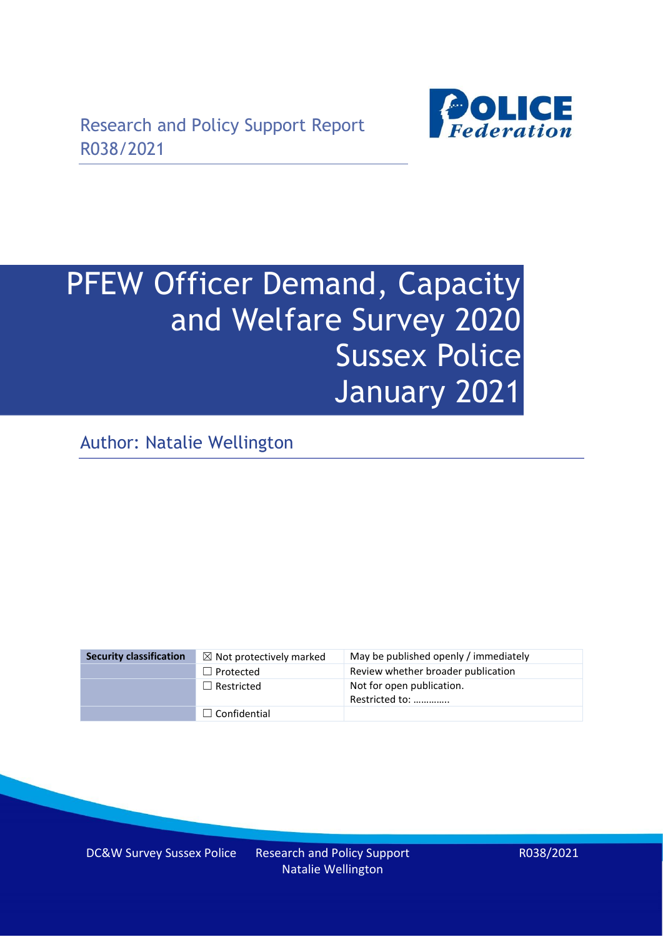

# PFEW Officer Demand, Capacity and Welfare Survey 2020 Sussex Police January 2021

Author: Natalie Wellington

| <b>Security classification</b> | $\boxtimes$ Not protectively marked | May be published openly / immediately       |
|--------------------------------|-------------------------------------|---------------------------------------------|
|                                | $\Box$ Protected                    | Review whether broader publication          |
|                                | $\Box$ Restricted                   | Not for open publication.<br>Restricted to: |
|                                | $\Box$ Confidential                 |                                             |

DC&W Survey Sussex Police Research and Policy Support Natalie Wellington

R038/2021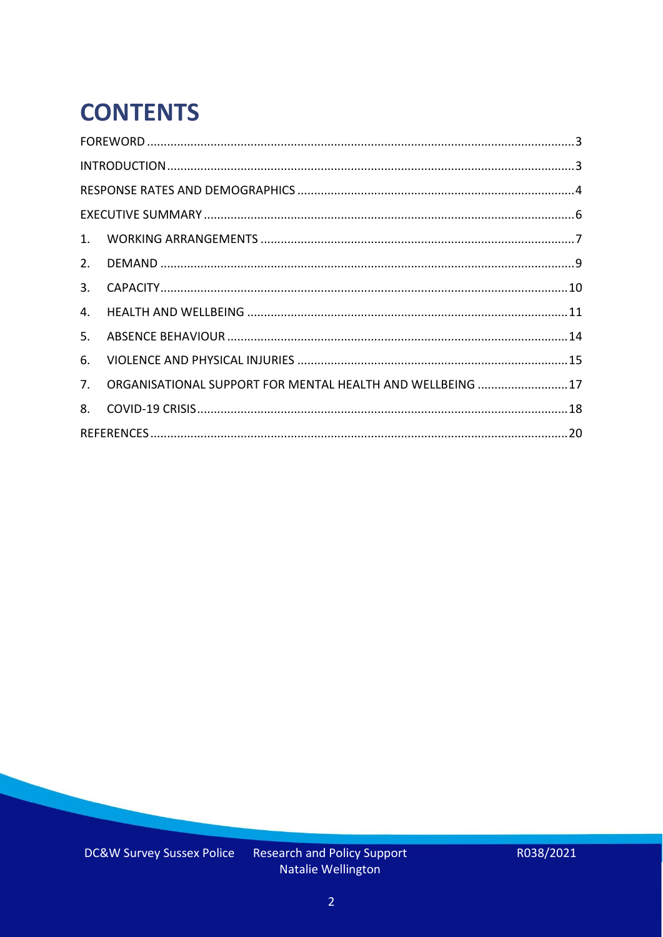# **CONTENTS**

| 4.          |                                                            |  |
|-------------|------------------------------------------------------------|--|
| 5.          |                                                            |  |
| 6.          |                                                            |  |
| $7_{\cdot}$ | ORGANISATIONAL SUPPORT FOR MENTAL HEALTH AND WELLBEING  17 |  |
| 8.          |                                                            |  |
|             |                                                            |  |

Research and Policy Support<br>Natalie Wellington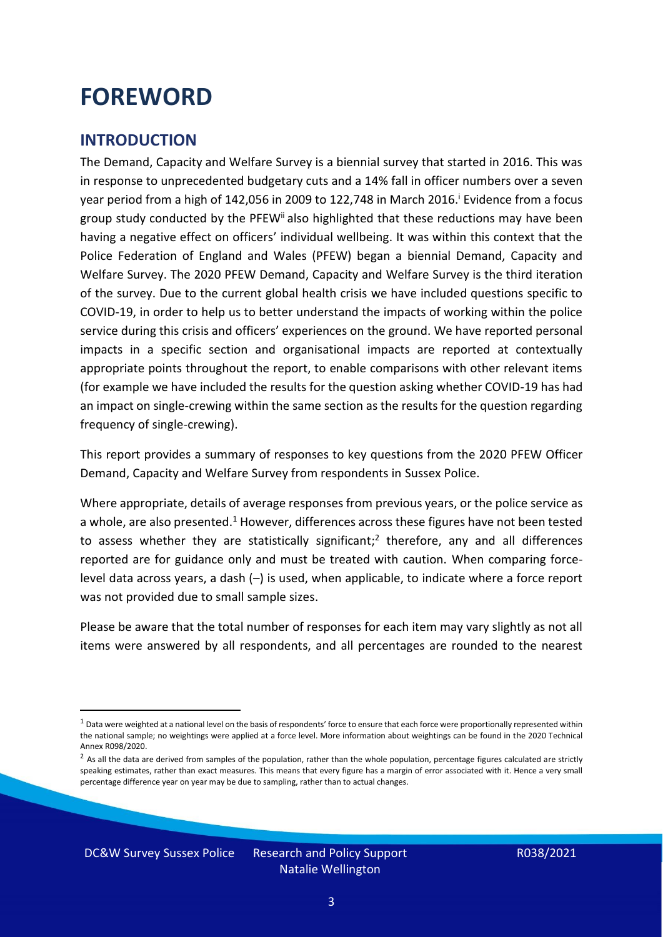### <span id="page-2-0"></span>**FOREWORD**

#### <span id="page-2-1"></span>**INTRODUCTION**

The Demand, Capacity and Welfare Survey is a biennial survey that started in 2016. This was in response to unprecedented budgetary cuts and a 14% fall in officer numbers over a seven year period from a high of 142,056 in 2009 to 122,748 in March 2016. <sup>i</sup> Evidence from a focus group study conducted by the PFEW<sup>ii</sup> also highlighted that these reductions may have been having a negative effect on officers' individual wellbeing. It was within this context that the Police Federation of England and Wales (PFEW) began a biennial Demand, Capacity and Welfare Survey. The 2020 PFEW Demand, Capacity and Welfare Survey is the third iteration of the survey. Due to the current global health crisis we have included questions specific to COVID-19, in order to help us to better understand the impacts of working within the police service during this crisis and officers' experiences on the ground. We have reported personal impacts in a specific section and organisational impacts are reported at contextually appropriate points throughout the report, to enable comparisons with other relevant items (for example we have included the results for the question asking whether COVID-19 has had an impact on single-crewing within the same section as the results for the question regarding frequency of single-crewing).

This report provides a summary of responses to key questions from the 2020 PFEW Officer Demand, Capacity and Welfare Survey from respondents in Sussex Police.

Where appropriate, details of average responses from previous years, or the police service as a whole, are also presented.<sup>1</sup> However, differences across these figures have not been tested to assess whether they are statistically significant;<sup>2</sup> therefore, any and all differences reported are for guidance only and must be treated with caution. When comparing forcelevel data across years, a dash (–) is used, when applicable, to indicate where a force report was not provided due to small sample sizes.

Please be aware that the total number of responses for each item may vary slightly as not all items were answered by all respondents, and all percentages are rounded to the nearest

DC&W Survey Sussex Police Research and Policy Support

 $1$  Data were weighted at a national level on the basis of respondents' force to ensure that each force were proportionally represented within the national sample; no weightings were applied at a force level. More information about weightings can be found in the 2020 Technical Annex R098/2020.

 $2$  As all the data are derived from samples of the population, rather than the whole population, percentage figures calculated are strictly speaking estimates, rather than exact measures. This means that every figure has a margin of error associated with it. Hence a very small percentage difference year on year may be due to sampling, rather than to actual changes.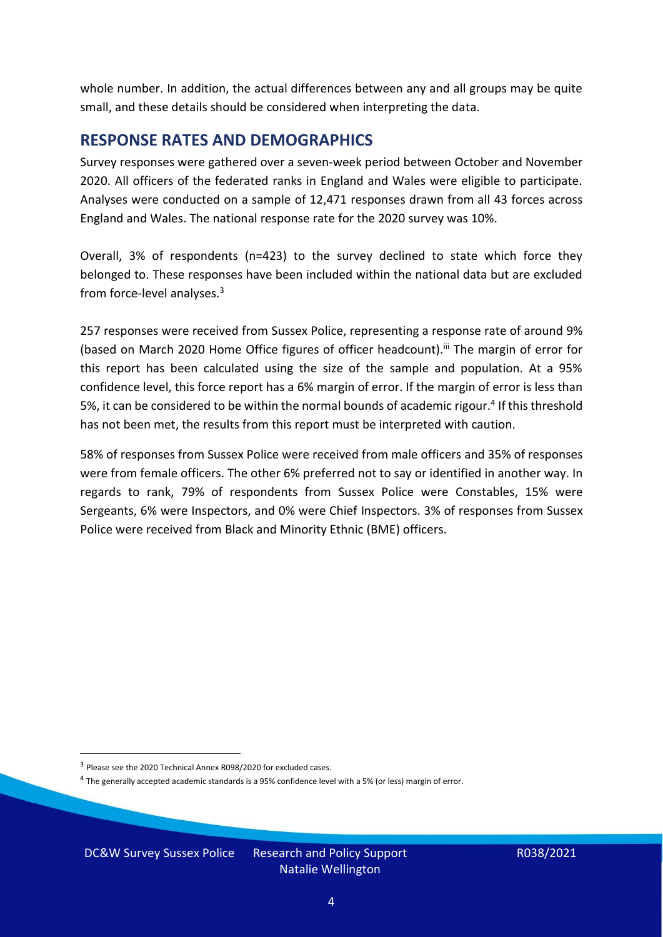whole number. In addition, the actual differences between any and all groups may be quite small, and these details should be considered when interpreting the data.

#### <span id="page-3-0"></span>**RESPONSE RATES AND DEMOGRAPHICS**

Survey responses were gathered over a seven-week period between October and November 2020. All officers of the federated ranks in England and Wales were eligible to participate. Analyses were conducted on a sample of 12,471 responses drawn from all 43 forces across England and Wales. The national response rate for the 2020 survey was 10%.

Overall, 3% of respondents (n=423) to the survey declined to state which force they belonged to. These responses have been included within the national data but are excluded from force-level analyses. $3$ 

257 responses were received from Sussex Police, representing a response rate of around 9% (based on March 2020 Home Office figures of officer headcount).<sup>iii</sup> The margin of error for this report has been calculated using the size of the sample and population. At a 95% confidence level, this force report has a 6% margin of error. If the margin of error is less than 5%, it can be considered to be within the normal bounds of academic rigour.<sup>4</sup> If this threshold has not been met, the results from this report must be interpreted with caution.

58% of responses from Sussex Police were received from male officers and 35% of responses were from female officers. The other 6% preferred not to say or identified in another way. In regards to rank, 79% of respondents from Sussex Police were Constables, 15% were Sergeants, 6% were Inspectors, and 0% were Chief Inspectors. 3% of responses from Sussex Police were received from Black and Minority Ethnic (BME) officers.

DC&W Survey Sussex Police Research and Policy Support

<sup>&</sup>lt;sup>3</sup> Please see the 2020 Technical Annex R098/2020 for excluded cases.

<sup>&</sup>lt;sup>4</sup> The generally accepted academic standards is a 95% confidence level with a 5% (or less) margin of error.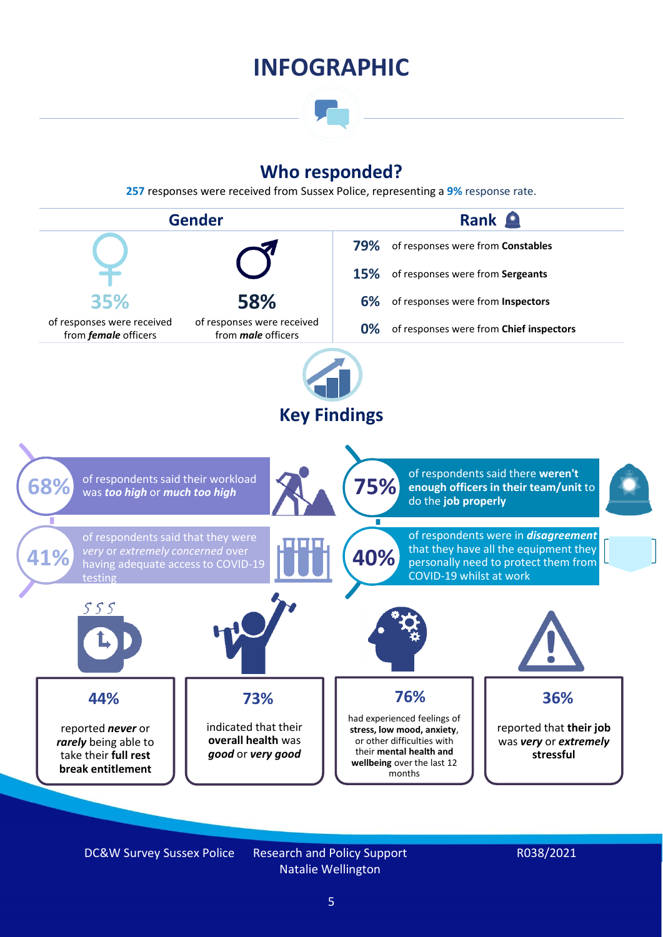### **INFOGRAPHIC**

### **Who responded?**

**257** responses were received from Sussex Police, representing a **9%** response rate.



DC&W Survey Sussex Police Research and Policy Support

Natalie Wellington

#### R038/2021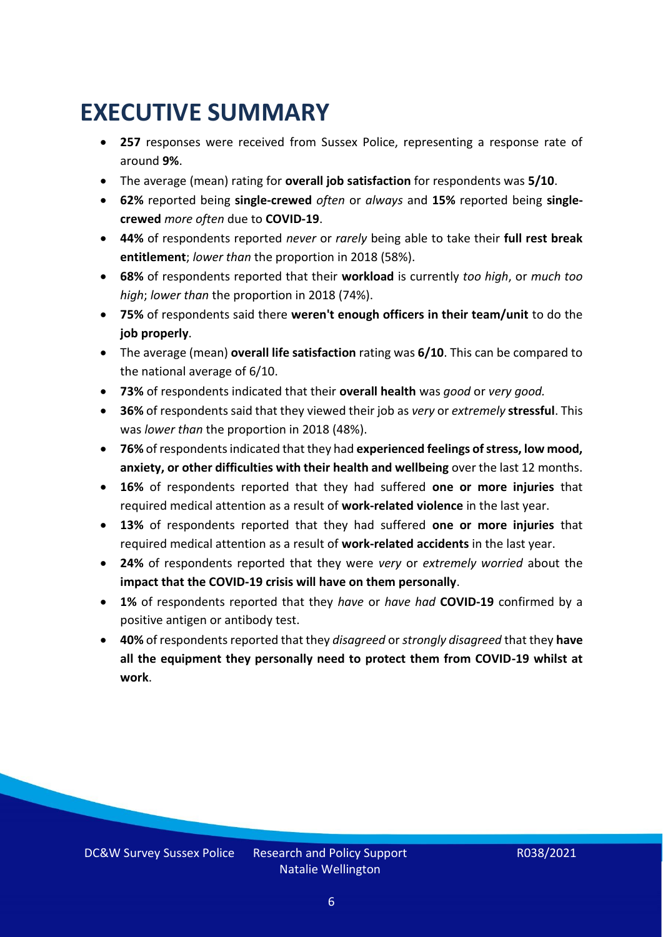### <span id="page-5-0"></span>**EXECUTIVE SUMMARY**

- **257** responses were received from Sussex Police, representing a response rate of around **9%**.
- The average (mean) rating for **overall job satisfaction** for respondents was **5/10**.
- **62%** reported being **single-crewed** *often* or *always* and **15%** reported being **singlecrewed** *more often* due to **COVID-19**.
- **44%** of respondents reported *never* or *rarely* being able to take their **full rest break entitlement**; *lower than* the proportion in 2018 (58%).
- **68%** of respondents reported that their **workload** is currently *too high*, or *much too high*; *lower than* the proportion in 2018 (74%).
- **75%** of respondents said there **weren't enough officers in their team/unit** to do the **job properly**.
- The average (mean) **overall life satisfaction** rating was **6/10**. This can be compared to the national average of 6/10.
- **73%** of respondents indicated that their **overall health** was *good* or *very good.*
- **36%** of respondents said that they viewed their job as *very* or *extremely* **stressful**. This was *lower than* the proportion in 2018 (48%).
- **76%** of respondents indicated that they had **experienced feelings of stress, low mood, anxiety, or other difficulties with their health and wellbeing** over the last 12 months.
- **16%** of respondents reported that they had suffered **one or more injuries** that required medical attention as a result of **work-related violence** in the last year.
- **13%** of respondents reported that they had suffered **one or more injuries** that required medical attention as a result of **work-related accidents** in the last year.
- **24%** of respondents reported that they were *very* or *extremely worried* about the **impact that the COVID-19 crisis will have on them personally**.
- **1%** of respondents reported that they *have* or *have had* **COVID-19** confirmed by a positive antigen or antibody test.
- **40%** of respondents reported that they *disagreed* or *strongly disagreed* that they **have all the equipment they personally need to protect them from COVID-19 whilst at work**.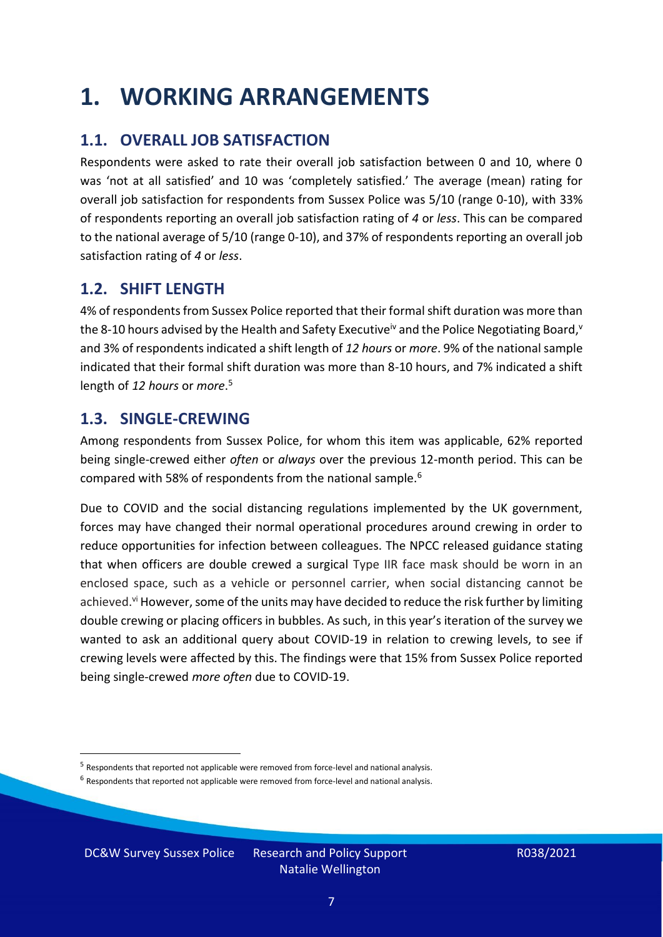### <span id="page-6-0"></span>**1. WORKING ARRANGEMENTS**

### **1.1. OVERALL JOB SATISFACTION**

Respondents were asked to rate their overall job satisfaction between 0 and 10, where 0 was 'not at all satisfied' and 10 was 'completely satisfied.' The average (mean) rating for overall job satisfaction for respondents from Sussex Police was 5/10 (range 0-10), with 33% of respondents reporting an overall job satisfaction rating of *4* or *less*. This can be compared to the national average of 5/10 (range 0-10), and 37% of respondents reporting an overall job satisfaction rating of *4* or *less*.

### **1.2. SHIFT LENGTH**

4% of respondents from Sussex Police reported that their formal shift duration was more than the 8-10 hours advised by the Health and Safety Executive<sup>iv</sup> and the Police Negotiating Board,<sup>v</sup> and 3% of respondents indicated a shift length of *12 hours* or *more*. 9% of the national sample indicated that their formal shift duration was more than 8-10 hours, and 7% indicated a shift length of *12 hours* or *more*. 5

#### **1.3. SINGLE-CREWING**

Among respondents from Sussex Police, for whom this item was applicable, 62% reported being single-crewed either *often* or *always* over the previous 12-month period. This can be compared with 58% of respondents from the national sample.<sup>6</sup>

Due to COVID and the social distancing regulations implemented by the UK government, forces may have changed their normal operational procedures around crewing in order to reduce opportunities for infection between colleagues. The NPCC released guidance stating that when officers are double crewed a surgical Type IIR face mask should be worn in an enclosed space, such as a vehicle or personnel carrier, when social distancing cannot be achieved.<sup>vi</sup> However, some of the units may have decided to reduce the risk further by limiting double crewing or placing officers in bubbles. As such, in this year's iteration of the survey we wanted to ask an additional query about COVID-19 in relation to crewing levels, to see if crewing levels were affected by this. The findings were that 15% from Sussex Police reported being single-crewed *more often* due to COVID-19.

DC&W Survey Sussex Police Research and Policy Support

<sup>&</sup>lt;sup>5</sup> Respondents that reported not applicable were removed from force-level and national analysis.

 $<sup>6</sup>$  Respondents that reported not applicable were removed from force-level and national analysis.</sup>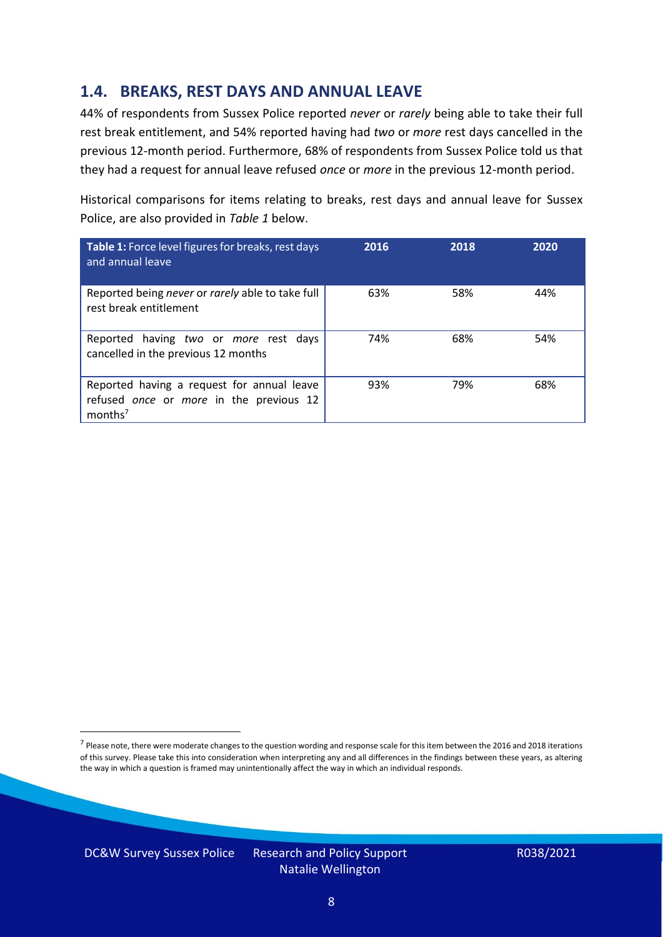### **1.4. BREAKS, REST DAYS AND ANNUAL LEAVE**

44% of respondents from Sussex Police reported *never* or *rarely* being able to take their full rest break entitlement, and 54% reported having had *two* or *more* rest days cancelled in the previous 12-month period. Furthermore, 68% of respondents from Sussex Police told us that they had a request for annual leave refused *once* or *more* in the previous 12-month period.

Historical comparisons for items relating to breaks, rest days and annual leave for Sussex Police, are also provided in *Table 1* below.

| Table 1: Force level figures for breaks, rest days<br>and annual leave                                       | 2016 | 2018 | 2020 |
|--------------------------------------------------------------------------------------------------------------|------|------|------|
| Reported being never or rarely able to take full<br>rest break entitlement                                   | 63%  | 58%  | 44%  |
| Reported having two or more rest days<br>cancelled in the previous 12 months                                 | 74%  | 68%  | 54%  |
| Reported having a request for annual leave<br>refused once or more in the previous 12<br>months <sup>7</sup> | 93%  | 79%  | 68%  |

DC&W Survey Sussex Police Research and Policy Support

<sup>&</sup>lt;sup>7</sup> Please note, there were moderate changes to the question wording and response scale for this item between the 2016 and 2018 iterations of this survey. Please take this into consideration when interpreting any and all differences in the findings between these years, as altering the way in which a question is framed may unintentionally affect the way in which an individual responds.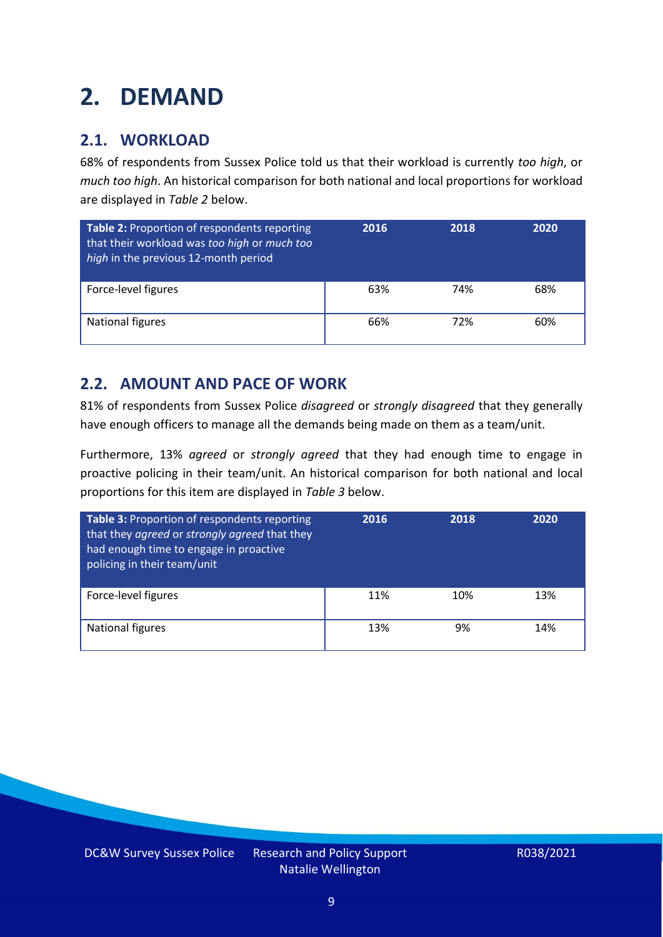### <span id="page-8-0"></span>**2. DEMAND**

### **2.1. WORKLOAD**

68% of respondents from Sussex Police told us that their workload is currently *too high*, or *much too high*. An historical comparison for both national and local proportions for workload are displayed in *Table 2* below.

| Table 2: Proportion of respondents reporting<br>that their workload was too high or much too<br>high in the previous 12-month period | 2016 | 2018 | 2020 |
|--------------------------------------------------------------------------------------------------------------------------------------|------|------|------|
| Force-level figures                                                                                                                  | 63%  | 74%  | 68%  |
| National figures                                                                                                                     | 66%  | 72%  | 60%  |

### **2.2. AMOUNT AND PACE OF WORK**

81% of respondents from Sussex Police *disagreed* or *strongly disagreed* that they generally have enough officers to manage all the demands being made on them as a team/unit.

Furthermore, 13% *agreed* or *strongly agreed* that they had enough time to engage in proactive policing in their team/unit. An historical comparison for both national and local proportions for this item are displayed in *Table 3* below.

| Table 3: Proportion of respondents reporting<br>that they agreed or strongly agreed that they<br>had enough time to engage in proactive<br>policing in their team/unit | 2016 | 2018 | 2020 |
|------------------------------------------------------------------------------------------------------------------------------------------------------------------------|------|------|------|
| Force-level figures                                                                                                                                                    | 11%  | 10%  | 13%  |
| <b>National figures</b>                                                                                                                                                | 13%  | 9%   | 14%  |

DC&W Survey Sussex Police Research and Policy Support Natalie Wellington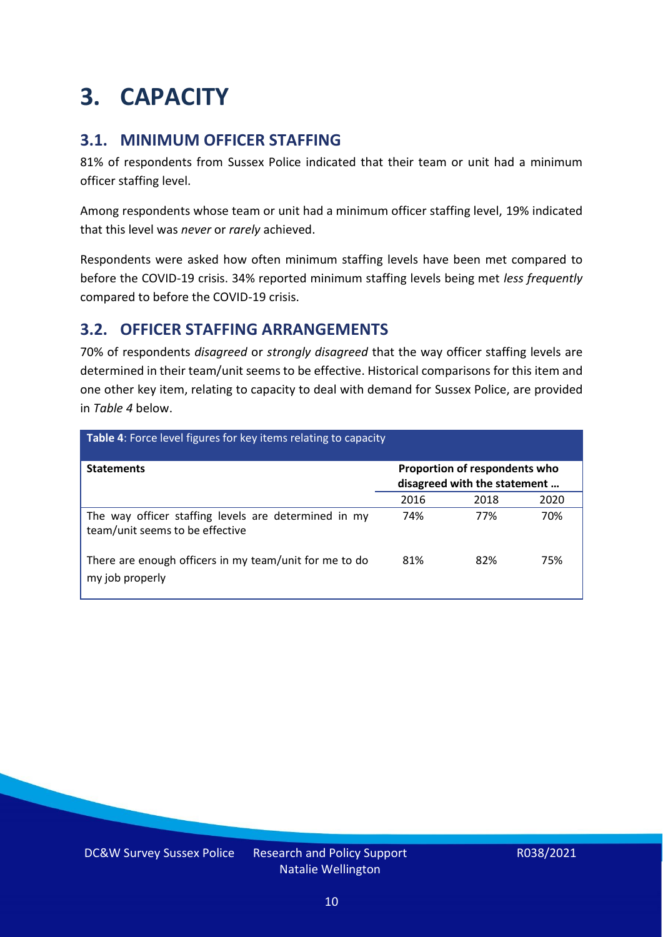### <span id="page-9-0"></span>**3. CAPACITY**

### **3.1. MINIMUM OFFICER STAFFING**

81% of respondents from Sussex Police indicated that their team or unit had a minimum officer staffing level.

Among respondents whose team or unit had a minimum officer staffing level, 19% indicated that this level was *never* or *rarely* achieved.

Respondents were asked how often minimum staffing levels have been met compared to before the COVID-19 crisis. 34% reported minimum staffing levels being met *less frequently* compared to before the COVID-19 crisis.

### **3.2. OFFICER STAFFING ARRANGEMENTS**

70% of respondents *disagreed* or *strongly disagreed* that the way officer staffing levels are determined in their team/unit seems to be effective. Historical comparisons for this item and one other key item, relating to capacity to deal with demand for Sussex Police, are provided in *Table 4* below.

| Table 4: Force level figures for key items relating to capacity                         |                                                               |      |      |  |
|-----------------------------------------------------------------------------------------|---------------------------------------------------------------|------|------|--|
| <b>Statements</b>                                                                       | Proportion of respondents who<br>disagreed with the statement |      |      |  |
|                                                                                         | 2016                                                          | 2018 | 2020 |  |
| The way officer staffing levels are determined in my<br>team/unit seems to be effective | 74%                                                           | 77%  | 70%  |  |
| There are enough officers in my team/unit for me to do<br>my job properly               | 81%                                                           | 82%  | 75%  |  |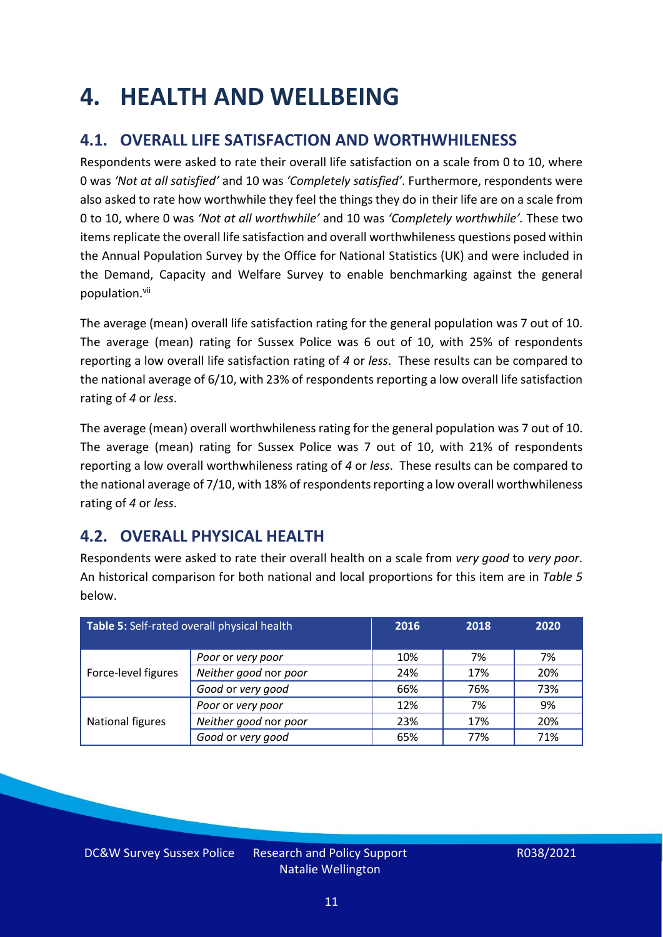### <span id="page-10-0"></span>**4. HEALTH AND WELLBEING**

### **4.1. OVERALL LIFE SATISFACTION AND WORTHWHILENESS**

Respondents were asked to rate their overall life satisfaction on a scale from 0 to 10, where 0 was *'Not at all satisfied'* and 10 was *'Completely satisfied'*. Furthermore, respondents were also asked to rate how worthwhile they feel the things they do in their life are on a scale from 0 to 10, where 0 was *'Not at all worthwhile'* and 10 was *'Completely worthwhile'.* These two items replicate the overall life satisfaction and overall worthwhileness questions posed within the Annual Population Survey by the Office for National Statistics (UK) and were included in the Demand, Capacity and Welfare Survey to enable benchmarking against the general population. vii

The average (mean) overall life satisfaction rating for the general population was 7 out of 10. The average (mean) rating for Sussex Police was 6 out of 10, with 25% of respondents reporting a low overall life satisfaction rating of *4* or *less*. These results can be compared to the national average of 6/10, with 23% of respondents reporting a low overall life satisfaction rating of *4* or *less*.

The average (mean) overall worthwhileness rating for the general population was 7 out of 10. The average (mean) rating for Sussex Police was 7 out of 10, with 21% of respondents reporting a low overall worthwhileness rating of *4* or *less*. These results can be compared to the national average of 7/10, with 18% of respondents reporting a low overall worthwhileness rating of *4* or *less*.

### **4.2. OVERALL PHYSICAL HEALTH**

Respondents were asked to rate their overall health on a scale from *very good* to *very poor*. An historical comparison for both national and local proportions for this item are in *Table 5* below.

| Table 5: Self-rated overall physical health |                       | 2016 | 2018 | 2020 |
|---------------------------------------------|-----------------------|------|------|------|
|                                             | Poor or very poor     | 10%  | 7%   | 7%   |
| Force-level figures                         | Neither good nor poor | 24%  | 17%  | 20%  |
|                                             | Good or very good     | 66%  | 76%  | 73%  |
|                                             | Poor or very poor     | 12%  | 7%   | 9%   |
| National figures                            | Neither good nor poor | 23%  | 17%  | 20%  |
|                                             | Good or very good     | 65%  | 77%  | 71%  |

DC&W Survey Sussex Police Research and Policy Support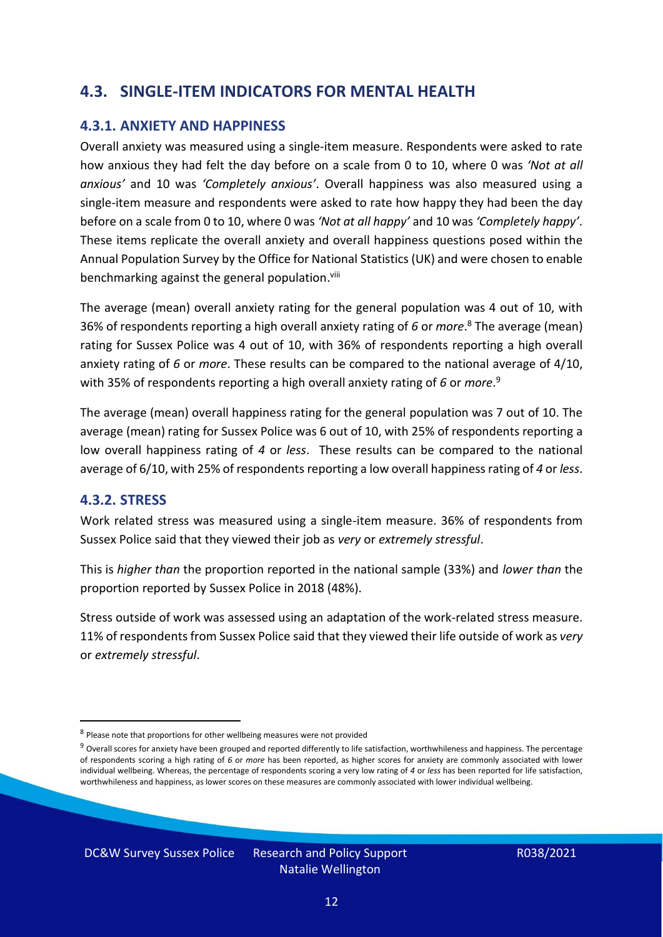### **4.3. SINGLE-ITEM INDICATORS FOR MENTAL HEALTH**

#### **4.3.1. ANXIETY AND HAPPINESS**

Overall anxiety was measured using a single-item measure. Respondents were asked to rate how anxious they had felt the day before on a scale from 0 to 10, where 0 was *'Not at all anxious'* and 10 was *'Completely anxious'*. Overall happiness was also measured using a single-item measure and respondents were asked to rate how happy they had been the day before on a scale from 0 to 10, where 0 was *'Not at all happy'* and 10 was *'Completely happy'*. These items replicate the overall anxiety and overall happiness questions posed within the Annual Population Survey by the Office for National Statistics (UK) and were chosen to enable benchmarking against the general population.<sup>viii</sup>

The average (mean) overall anxiety rating for the general population was 4 out of 10, with 36% of respondents reporting a high overall anxiety rating of *6* or *more*. <sup>8</sup> The average (mean) rating for Sussex Police was 4 out of 10, with 36% of respondents reporting a high overall anxiety rating of *6* or *more*. These results can be compared to the national average of 4/10, with 35% of respondents reporting a high overall anxiety rating of *6* or *more*. 9

The average (mean) overall happiness rating for the general population was 7 out of 10. The average (mean) rating for Sussex Police was 6 out of 10, with 25% of respondents reporting a low overall happiness rating of *4* or *less*. These results can be compared to the national average of 6/10, with 25% of respondents reporting a low overall happinessrating of *4* or *less*.

#### **4.3.2. STRESS**

Work related stress was measured using a single-item measure. 36% of respondents from Sussex Police said that they viewed their job as *very* or *extremely stressful*.

This is *higher than* the proportion reported in the national sample (33%) and *lower than* the proportion reported by Sussex Police in 2018 (48%).

Stress outside of work was assessed using an adaptation of the work-related stress measure. 11% of respondents from Sussex Police said that they viewed their life outside of work as *very* or *extremely stressful*.

DC&W Survey Sussex Police Research and Policy Support

<sup>&</sup>lt;sup>8</sup> Please note that proportions for other wellbeing measures were not provided

 $9$  Overall scores for anxiety have been grouped and reported differently to life satisfaction, worthwhileness and happiness. The percentage of respondents scoring a high rating of *6* or *more* has been reported, as higher scores for anxiety are commonly associated with lower individual wellbeing. Whereas, the percentage of respondents scoring a very low rating of *4* or *less* has been reported for life satisfaction, worthwhileness and happiness, as lower scores on these measures are commonly associated with lower individual wellbeing.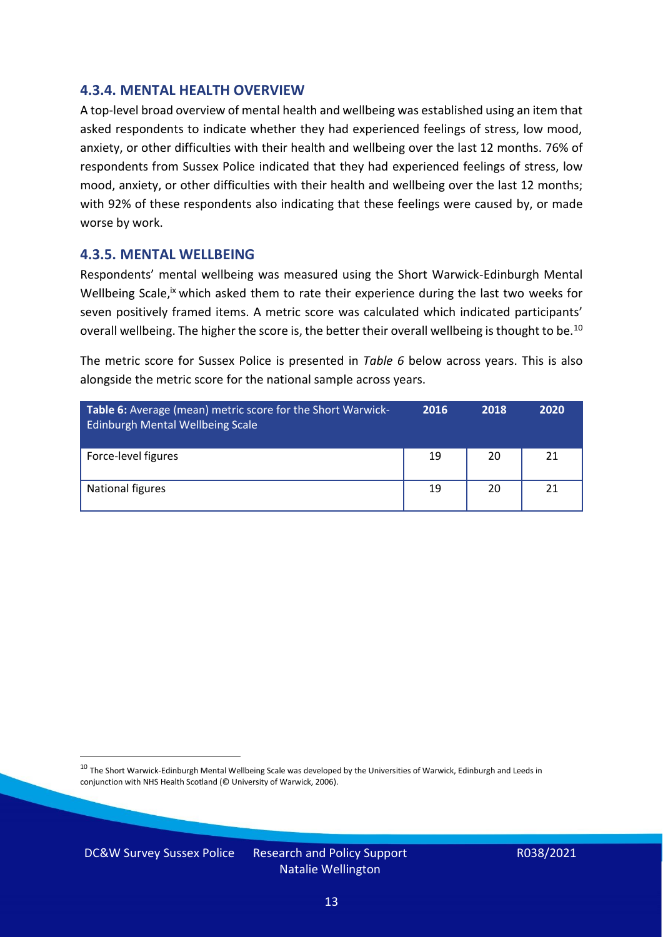#### **4.3.4. MENTAL HEALTH OVERVIEW**

A top-level broad overview of mental health and wellbeing was established using an item that asked respondents to indicate whether they had experienced feelings of stress, low mood, anxiety, or other difficulties with their health and wellbeing over the last 12 months. 76% of respondents from Sussex Police indicated that they had experienced feelings of stress, low mood, anxiety, or other difficulties with their health and wellbeing over the last 12 months; with 92% of these respondents also indicating that these feelings were caused by, or made worse by work.

#### **4.3.5. MENTAL WELLBEING**

Respondents' mental wellbeing was measured using the Short Warwick-Edinburgh Mental Wellbeing Scale,<sup>ix</sup> which asked them to rate their experience during the last two weeks for seven positively framed items. A metric score was calculated which indicated participants' overall wellbeing. The higher the score is, the better their overall wellbeing is thought to be.<sup>10</sup>

The metric score for Sussex Police is presented in *Table 6* below across years. This is also alongside the metric score for the national sample across years.

| <b>Table 6:</b> Average (mean) metric score for the Short Warwick-<br>Edinburgh Mental Wellbeing Scale | 2016 | 2018 | 2020 |
|--------------------------------------------------------------------------------------------------------|------|------|------|
| Force-level figures                                                                                    | 19   | 20   | 21   |
| National figures                                                                                       | 19   | 20   | 21   |

 $10$  The Short Warwick-Edinburgh Mental Wellbeing Scale was developed by the Universities of Warwick, Edinburgh and Leeds in conjunction with NHS Health Scotland (© University of Warwick, 2006).

DC&W Survey Sussex Police Research and Policy Support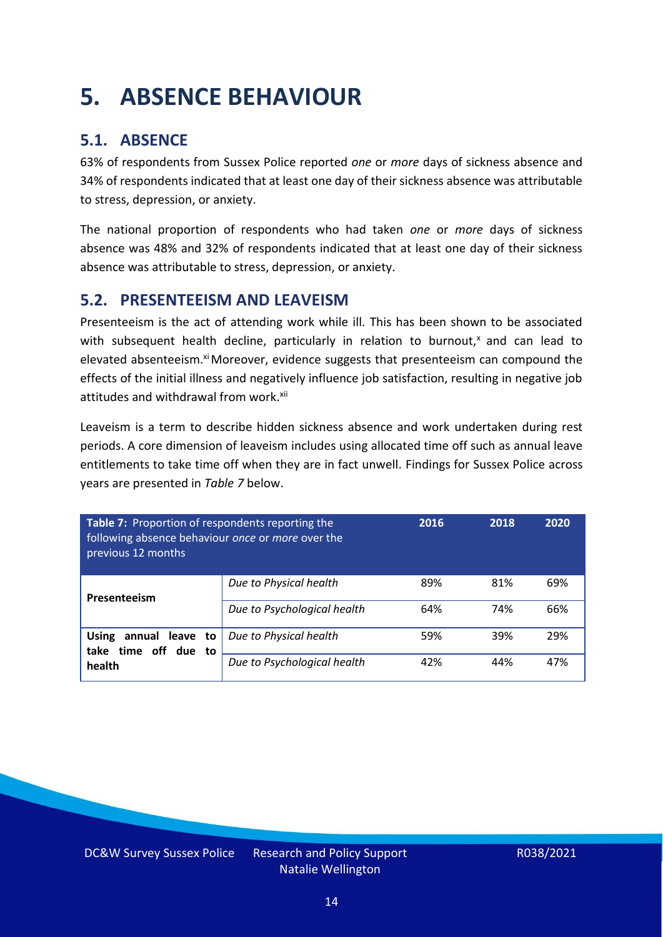### <span id="page-13-0"></span>**5. ABSENCE BEHAVIOUR**

### **5.1. ABSENCE**

63% of respondents from Sussex Police reported *one* or *more* days of sickness absence and 34% of respondents indicated that at least one day of their sickness absence was attributable to stress, depression, or anxiety.

The national proportion of respondents who had taken *one* or *more* days of sickness absence was 48% and 32% of respondents indicated that at least one day of their sickness absence was attributable to stress, depression, or anxiety.

### **5.2. PRESENTEEISM AND LEAVEISM**

Presenteeism is the act of attending work while ill. This has been shown to be associated with subsequent health decline, particularly in relation to burnout, $x$  and can lead to elevated absenteeism.<sup>xi</sup> Moreover, evidence suggests that presenteeism can compound the effects of the initial illness and negatively influence job satisfaction, resulting in negative job attitudes and withdrawal from work.<sup>xii</sup>

Leaveism is a term to describe hidden sickness absence and work undertaken during rest periods. A core dimension of leaveism includes using allocated time off such as annual leave entitlements to take time off when they are in fact unwell. Findings for Sussex Police across years are presented in *Table 7* below.

| Table 7: Proportion of respondents reporting the<br>following absence behaviour once or more over the<br>previous 12 months |                             | 2016 | 2018 | 2020 |
|-----------------------------------------------------------------------------------------------------------------------------|-----------------------------|------|------|------|
| Presenteeism                                                                                                                | Due to Physical health      | 89%  | 81%  | 69%  |
|                                                                                                                             | Due to Psychological health | 64%  | 74%  | 66%  |
| annual leave to<br><b>Using</b><br>time off due to<br>take                                                                  | Due to Physical health      | 59%  | 39%  | 29%  |
| health                                                                                                                      | Due to Psychological health | 42%  | 44%  | 47%  |

DC&W Survey Sussex Police Research and Policy Support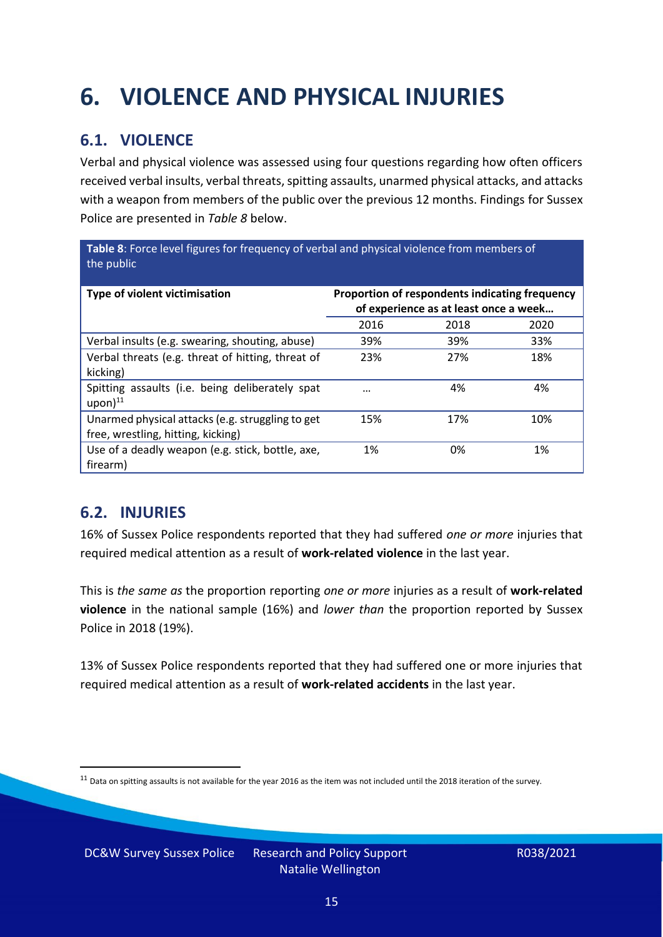## <span id="page-14-0"></span>**6. VIOLENCE AND PHYSICAL INJURIES**

### **6.1. VIOLENCE**

Verbal and physical violence was assessed using four questions regarding how often officers received verbal insults, verbal threats, spitting assaults, unarmed physical attacks, and attacks with a weapon from members of the public over the previous 12 months. Findings for Sussex Police are presented in *Table 8* below.

**Table 8**: Force level figures for frequency of verbal and physical violence from members of the public

| Type of violent victimisation                                                          | Proportion of respondents indicating frequency<br>of experience as at least once a week |      |      |
|----------------------------------------------------------------------------------------|-----------------------------------------------------------------------------------------|------|------|
|                                                                                        | 2016                                                                                    | 2018 | 2020 |
| Verbal insults (e.g. swearing, shouting, abuse)                                        | 39%                                                                                     | 39%  | 33%  |
| Verbal threats (e.g. threat of hitting, threat of<br>kicking)                          | 23%                                                                                     | 27%  | 18%  |
| Spitting assaults (i.e. being deliberately spat<br>$upon)$ <sup>11</sup>               | $\cdots$                                                                                | 4%   | 4%   |
| Unarmed physical attacks (e.g. struggling to get<br>free, wrestling, hitting, kicking) | 15%                                                                                     | 17%  | 10%  |
| Use of a deadly weapon (e.g. stick, bottle, axe,<br>firearm)                           | 1%                                                                                      | 0%   | 1%   |

### **6.2. INJURIES**

16% of Sussex Police respondents reported that they had suffered *one or more* injuries that required medical attention as a result of **work-related violence** in the last year.

This is *the same as* the proportion reporting *one or more* injuries as a result of **work-related violence** in the national sample (16%) and *lower than* the proportion reported by Sussex Police in 2018 (19%).

13% of Sussex Police respondents reported that they had suffered one or more injuries that required medical attention as a result of **work-related accidents** in the last year.

 $11$  Data on spitting assaults is not available for the year 2016 as the item was not included until the 2018 iteration of the survey.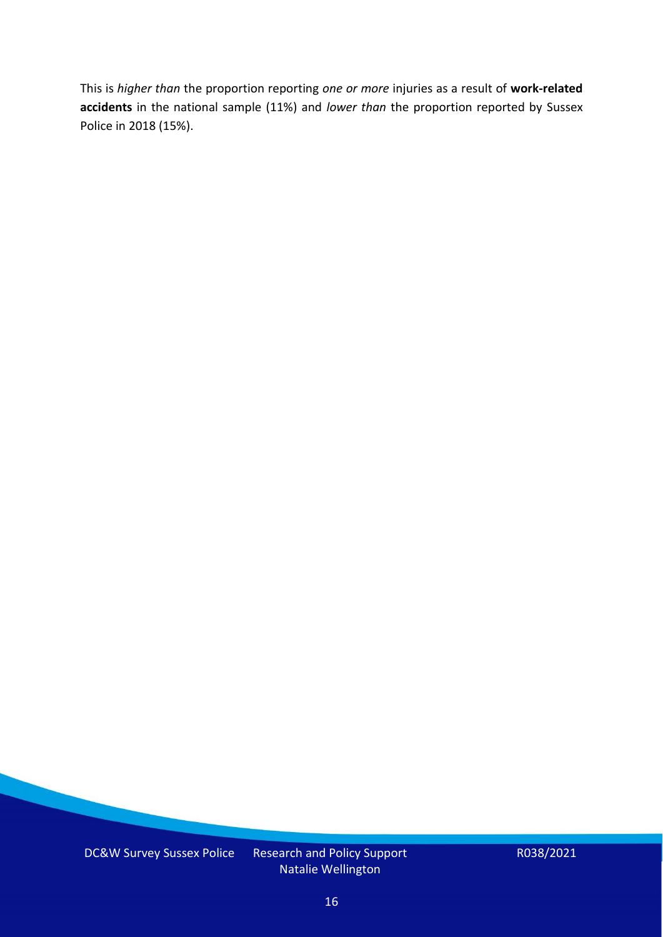This is *higher than* the proportion reporting *one or more* injuries as a result of **work-related accidents** in the national sample (11%) and *lower than* the proportion reported by Sussex Police in 2018 (15%).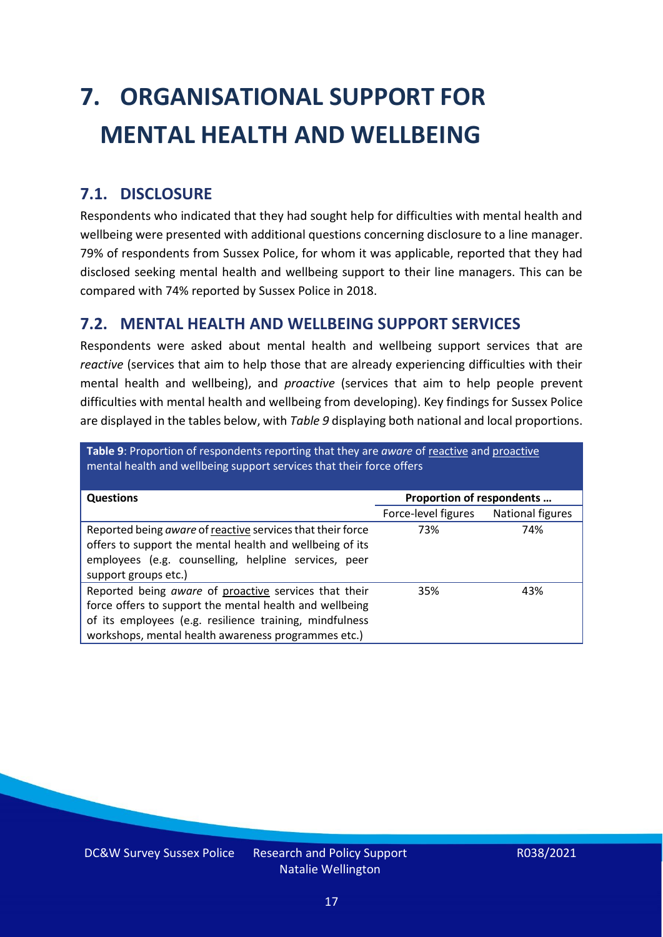# <span id="page-16-0"></span>**7. ORGANISATIONAL SUPPORT FOR MENTAL HEALTH AND WELLBEING**

### **7.1. DISCLOSURE**

Respondents who indicated that they had sought help for difficulties with mental health and wellbeing were presented with additional questions concerning disclosure to a line manager. 79% of respondents from Sussex Police, for whom it was applicable, reported that they had disclosed seeking mental health and wellbeing support to their line managers. This can be compared with 74% reported by Sussex Police in 2018.

### **7.2. MENTAL HEALTH AND WELLBEING SUPPORT SERVICES**

Respondents were asked about mental health and wellbeing support services that are *reactive* (services that aim to help those that are already experiencing difficulties with their mental health and wellbeing), and *proactive* (services that aim to help people prevent difficulties with mental health and wellbeing from developing). Key findings for Sussex Police are displayed in the tables below, with *Table 9* displaying both national and local proportions.

**Table 9**: Proportion of respondents reporting that they are *aware* of reactive and proactive mental health and wellbeing support services that their force offers

| <b>Questions</b>                                                                                                                                                                                                                   | Proportion of respondents |                  |
|------------------------------------------------------------------------------------------------------------------------------------------------------------------------------------------------------------------------------------|---------------------------|------------------|
|                                                                                                                                                                                                                                    | Force-level figures       | National figures |
| Reported being aware of reactive services that their force<br>offers to support the mental health and wellbeing of its<br>employees (e.g. counselling, helpline services, peer<br>support groups etc.)                             | 73%                       | 74%              |
| Reported being aware of proactive services that their<br>force offers to support the mental health and wellbeing<br>of its employees (e.g. resilience training, mindfulness<br>workshops, mental health awareness programmes etc.) | 35%                       | 43%              |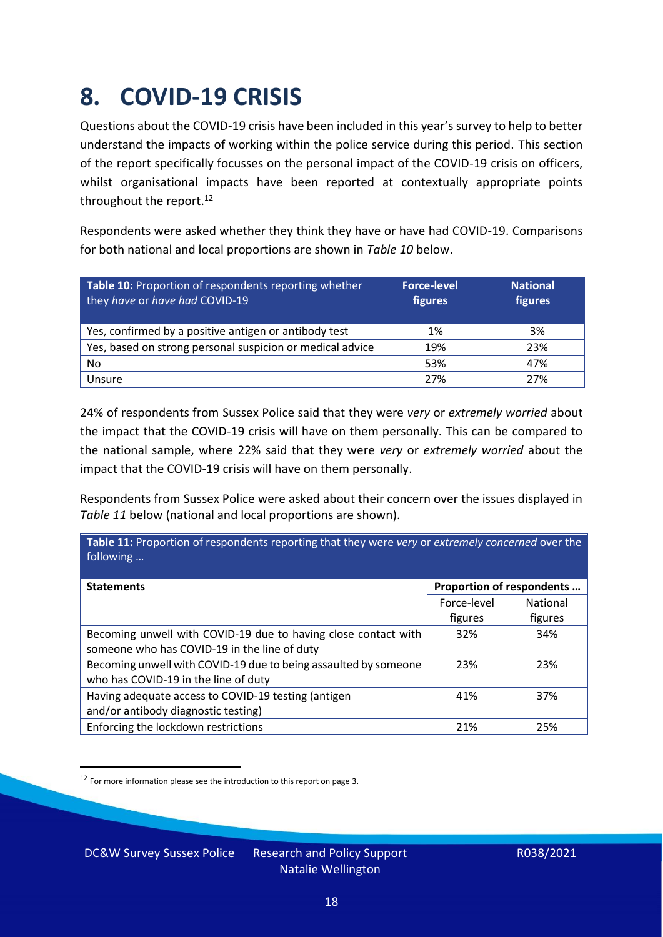### <span id="page-17-0"></span>**8. COVID-19 CRISIS**

Questions about the COVID-19 crisis have been included in this year's survey to help to better understand the impacts of working within the police service during this period. This section of the report specifically focusses on the personal impact of the COVID-19 crisis on officers, whilst organisational impacts have been reported at contextually appropriate points throughout the report.<sup>12</sup>

Respondents were asked whether they think they have or have had COVID-19. Comparisons for both national and local proportions are shown in *Table 10* below.

| Table 10: Proportion of respondents reporting whether<br>they have or have had COVID-19 | <b>Force-level</b><br>figures | <b>National</b><br>figures |
|-----------------------------------------------------------------------------------------|-------------------------------|----------------------------|
| Yes, confirmed by a positive antigen or antibody test                                   | 1%                            | 3%                         |
| Yes, based on strong personal suspicion or medical advice                               | 19%                           | 23%                        |
| No                                                                                      | 53%                           | 47%                        |
| Unsure                                                                                  | 27%                           | 27%                        |

24% of respondents from Sussex Police said that they were *very* or *extremely worried* about the impact that the COVID-19 crisis will have on them personally. This can be compared to the national sample, where 22% said that they were *very* or *extremely worried* about the impact that the COVID-19 crisis will have on them personally.

Respondents from Sussex Police were asked about their concern over the issues displayed in *Table 11* below (national and local proportions are shown).

| Table 11: Proportion of respondents reporting that they were very or extremely concerned over the<br>following |                           |                 |
|----------------------------------------------------------------------------------------------------------------|---------------------------|-----------------|
| <b>Statements</b>                                                                                              | Proportion of respondents |                 |
|                                                                                                                | Force-level               | <b>National</b> |
|                                                                                                                | figures                   | figures         |
| Becoming unwell with COVID-19 due to having close contact with                                                 | 32%                       | 34%             |
| someone who has COVID-19 in the line of duty                                                                   |                           |                 |
| Becoming unwell with COVID-19 due to being assaulted by someone                                                | 23%                       | 23%             |
| who has COVID-19 in the line of duty                                                                           |                           |                 |
| Having adequate access to COVID-19 testing (antigen                                                            | 41%                       | 37%             |
| and/or antibody diagnostic testing)                                                                            |                           |                 |
| Enforcing the lockdown restrictions                                                                            | 21%                       | 25%             |

<sup>12</sup> For more information please see the introduction to this report on page 3.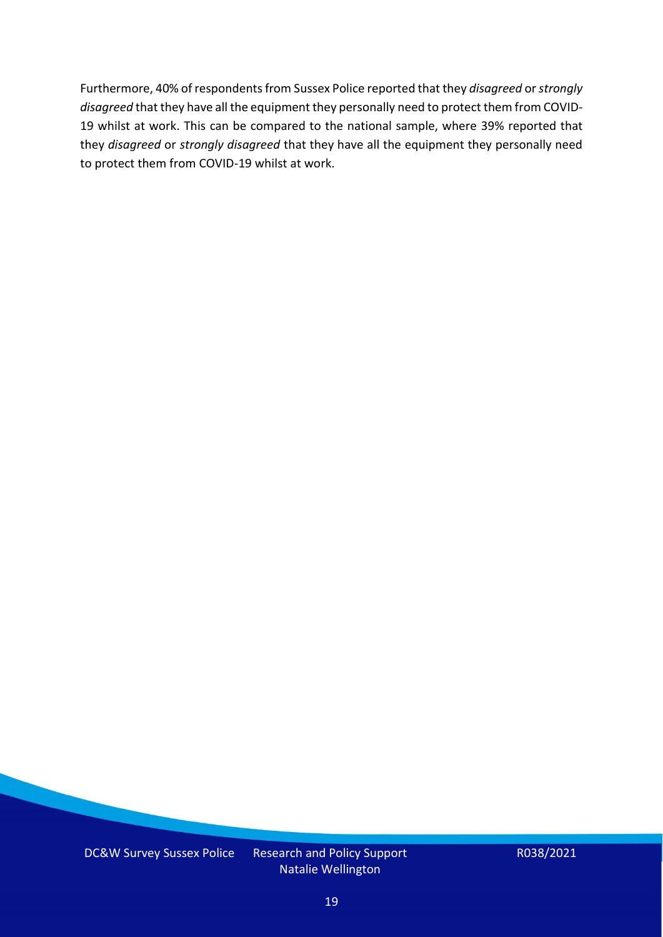Furthermore, 40% of respondents from Sussex Police reported that they *disagreed* or *strongly disagreed* that they have all the equipment they personally need to protect them from COVID-19 whilst at work. This can be compared to the national sample, where 39% reported that they *disagreed* or *strongly disagreed* that they have all the equipment they personally need to protect them from COVID-19 whilst at work.

DC&W Survey Sussex Police Research and Policy Support

Natalie Wellington

R038/2021